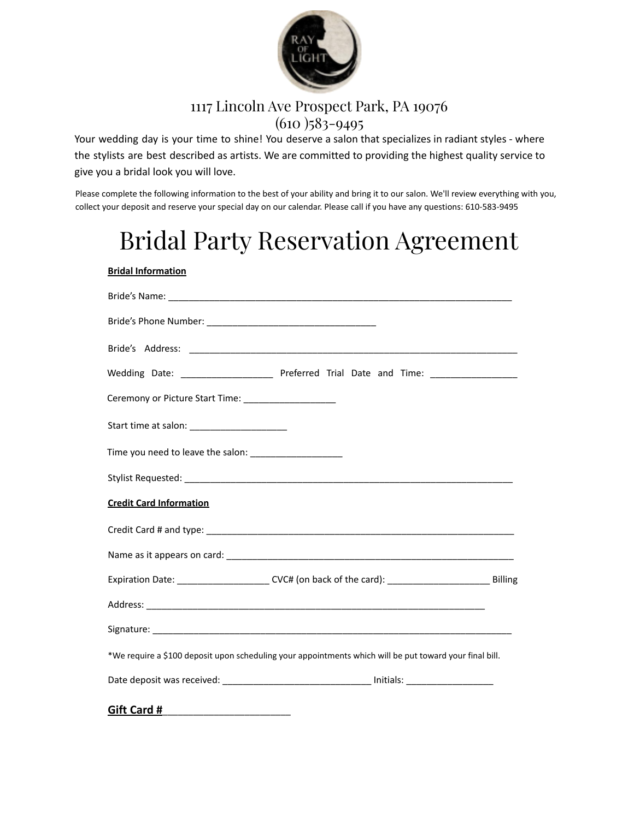

## 1117 Lincoln Ave Prospect Park, PA 19076  $(610)$  583-9495

Your wedding day is your time to shine! You deserve a salon that specializes in radiant styles - where the stylists are best described as artists. We are committed to providing the highest quality service to give you a bridal look you will love.

Please complete the following information to the best of your ability and bring it to our salon. We'll review everything with you, collect your deposit and reserve your special day on our calendar. Please call if you have any questions: 610-583-9495

## Bridal Party Reservation Agreement

| <b>Bridal Information</b>                                                                                  |
|------------------------------------------------------------------------------------------------------------|
|                                                                                                            |
|                                                                                                            |
|                                                                                                            |
| Wedding Date: _________________________ Preferred Trial Date and Time: _________________                   |
| Ceremony or Picture Start Time: ________________________                                                   |
|                                                                                                            |
|                                                                                                            |
|                                                                                                            |
| <b>Credit Card Information</b>                                                                             |
|                                                                                                            |
|                                                                                                            |
| Expiration Date: _______________________CVC# (on back of the card): _______________________________Billing |
|                                                                                                            |
|                                                                                                            |
| *We require a \$100 deposit upon scheduling your appointments which will be put toward your final bill.    |
| Date deposit was received: __________________________________ Initials: ____________________________       |
| Gift Card #                                                                                                |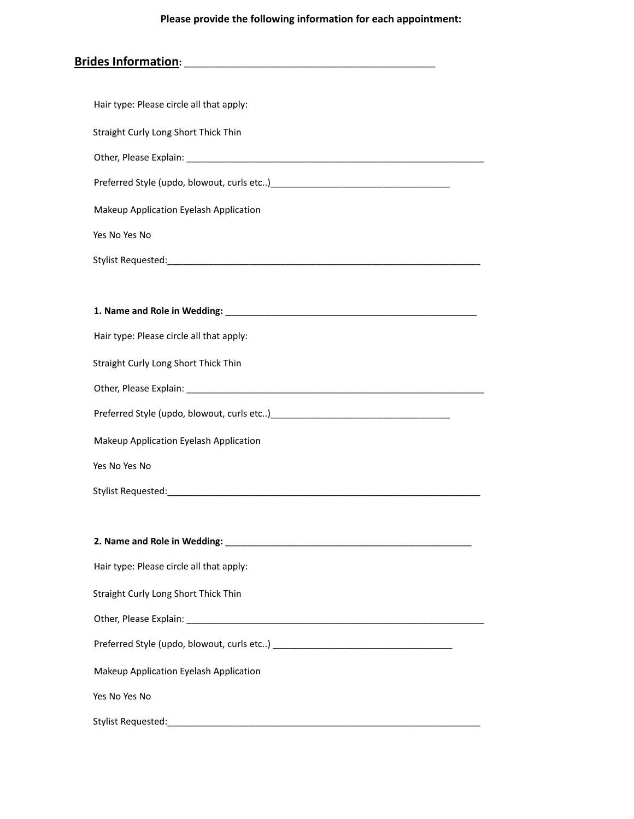## **Please provide the following information for each appointment:**

| Hair type: Please circle all that apply: |  |
|------------------------------------------|--|
| Straight Curly Long Short Thick Thin     |  |
|                                          |  |
|                                          |  |
| Makeup Application Eyelash Application   |  |
| Yes No Yes No                            |  |
|                                          |  |
|                                          |  |
|                                          |  |
| Hair type: Please circle all that apply: |  |
| Straight Curly Long Short Thick Thin     |  |
|                                          |  |
|                                          |  |
| Makeup Application Eyelash Application   |  |
| Yes No Yes No                            |  |
|                                          |  |
|                                          |  |
|                                          |  |
| Hair type: Please circle all that apply: |  |
| Straight Curly Long Short Thick Thin     |  |
|                                          |  |
|                                          |  |
| Makeup Application Eyelash Application   |  |
| Yes No Yes No                            |  |
|                                          |  |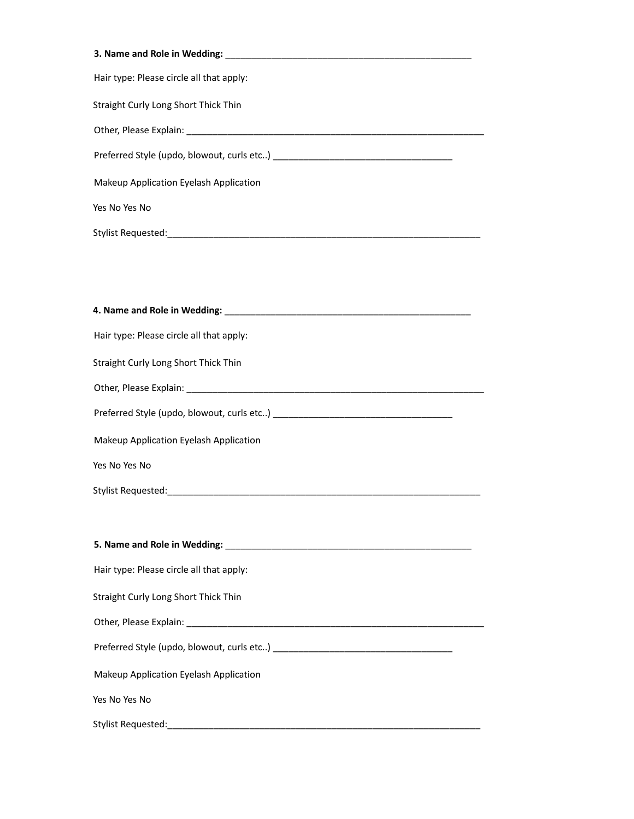| Hair type: Please circle all that apply:                                                                                                                                                                                       |
|--------------------------------------------------------------------------------------------------------------------------------------------------------------------------------------------------------------------------------|
| Straight Curly Long Short Thick Thin                                                                                                                                                                                           |
|                                                                                                                                                                                                                                |
|                                                                                                                                                                                                                                |
| Makeup Application Eyelash Application                                                                                                                                                                                         |
| Yes No Yes No                                                                                                                                                                                                                  |
| Stylist Requested: The Contract of the Contract of the Contract of the Contract of the Contract of the Contract of the Contract of the Contract of the Contract of the Contract of the Contract of the Contract of the Contrac |
|                                                                                                                                                                                                                                |

| Hair type: Please circle all that apply: |  |
|------------------------------------------|--|
| Straight Curly Long Short Thick Thin     |  |
|                                          |  |
|                                          |  |
| Makeup Application Eyelash Application   |  |
| Yes No Yes No                            |  |
|                                          |  |
|                                          |  |
|                                          |  |
| Hair type: Please circle all that apply: |  |
| Straight Curly Long Short Thick Thin     |  |
|                                          |  |
|                                          |  |
| Makeup Application Eyelash Application   |  |
| Yes No Yes No                            |  |
| Stylist Requested:                       |  |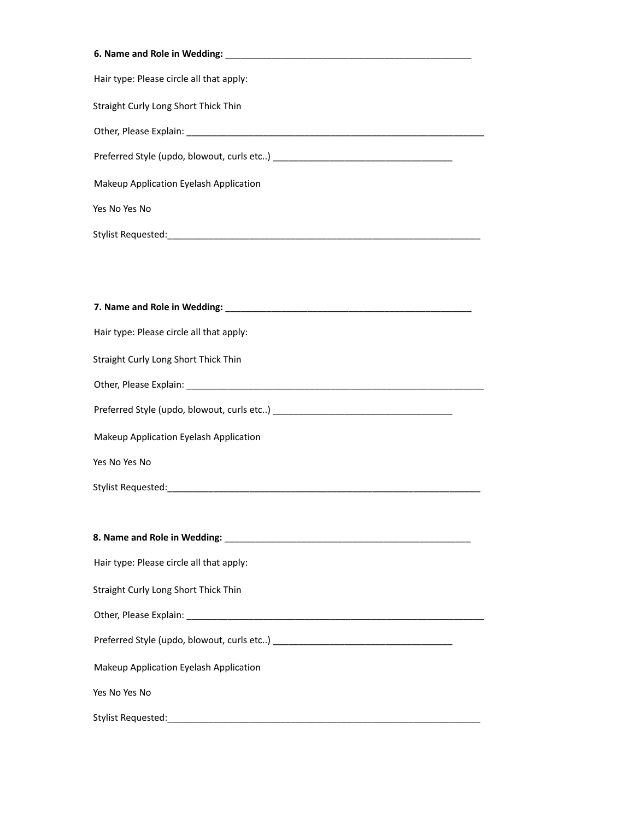| Hair type: Please circle all that apply: |
|------------------------------------------|
| Straight Curly Long Short Thick Thin     |
|                                          |
|                                          |
| Makeup Application Eyelash Application   |
| Yes No Yes No                            |
|                                          |
|                                          |
|                                          |
|                                          |
| Hair type: Please circle all that apply: |
| Straight Curly Long Short Thick Thin     |
|                                          |
|                                          |
| Makeup Application Eyelash Application   |
| Yes No Yes No                            |
|                                          |
|                                          |
|                                          |
| Hair type: Please circle all that apply: |
| Straight Curly Long Short Thick Thin     |
|                                          |
|                                          |
| Makeup Application Eyelash Application   |
| Yes No Yes No                            |
|                                          |